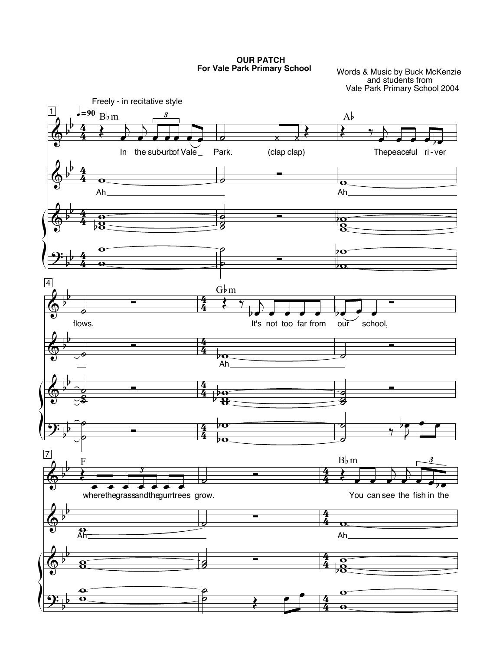**OUR PATCH** For Vale Park Primary School

Words & Music by Buck McKenzie<br>and students from<br>Vale Park Primary School 2004

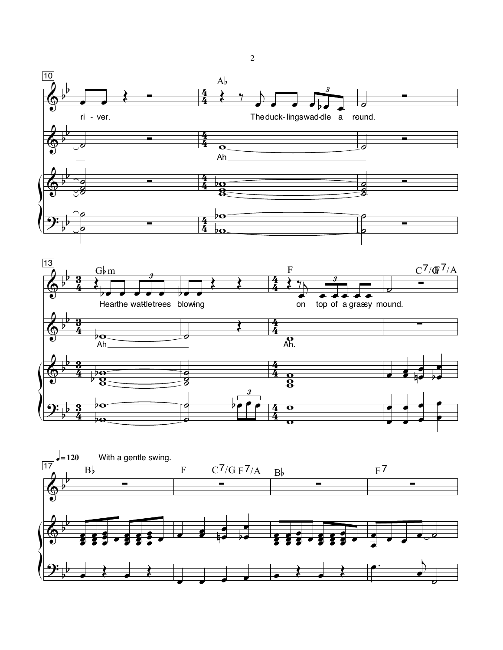



 $\sqrt{2}$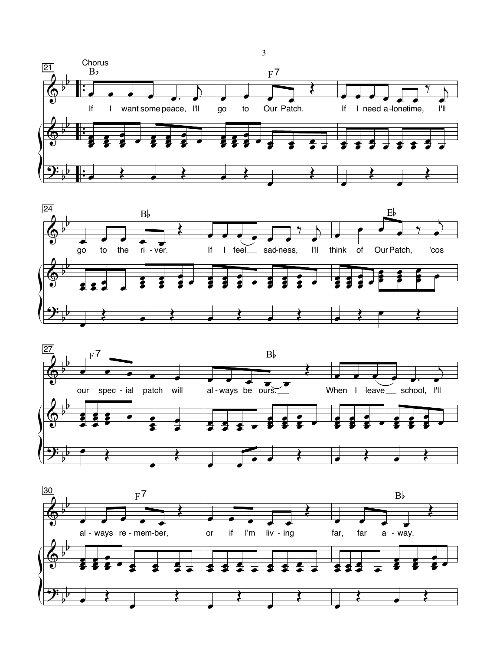





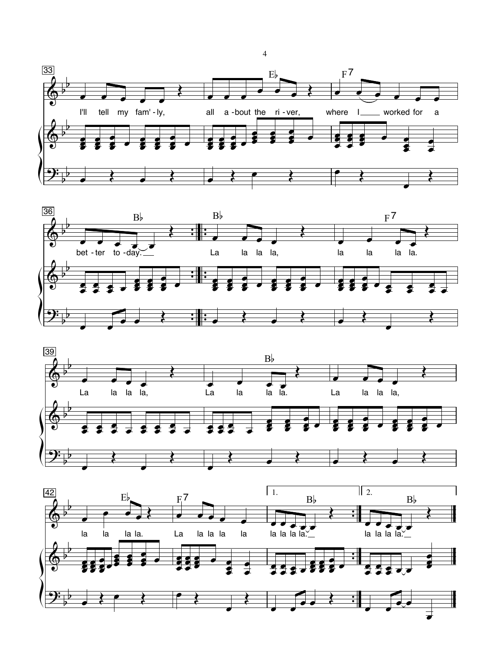







 $\overline{4}$